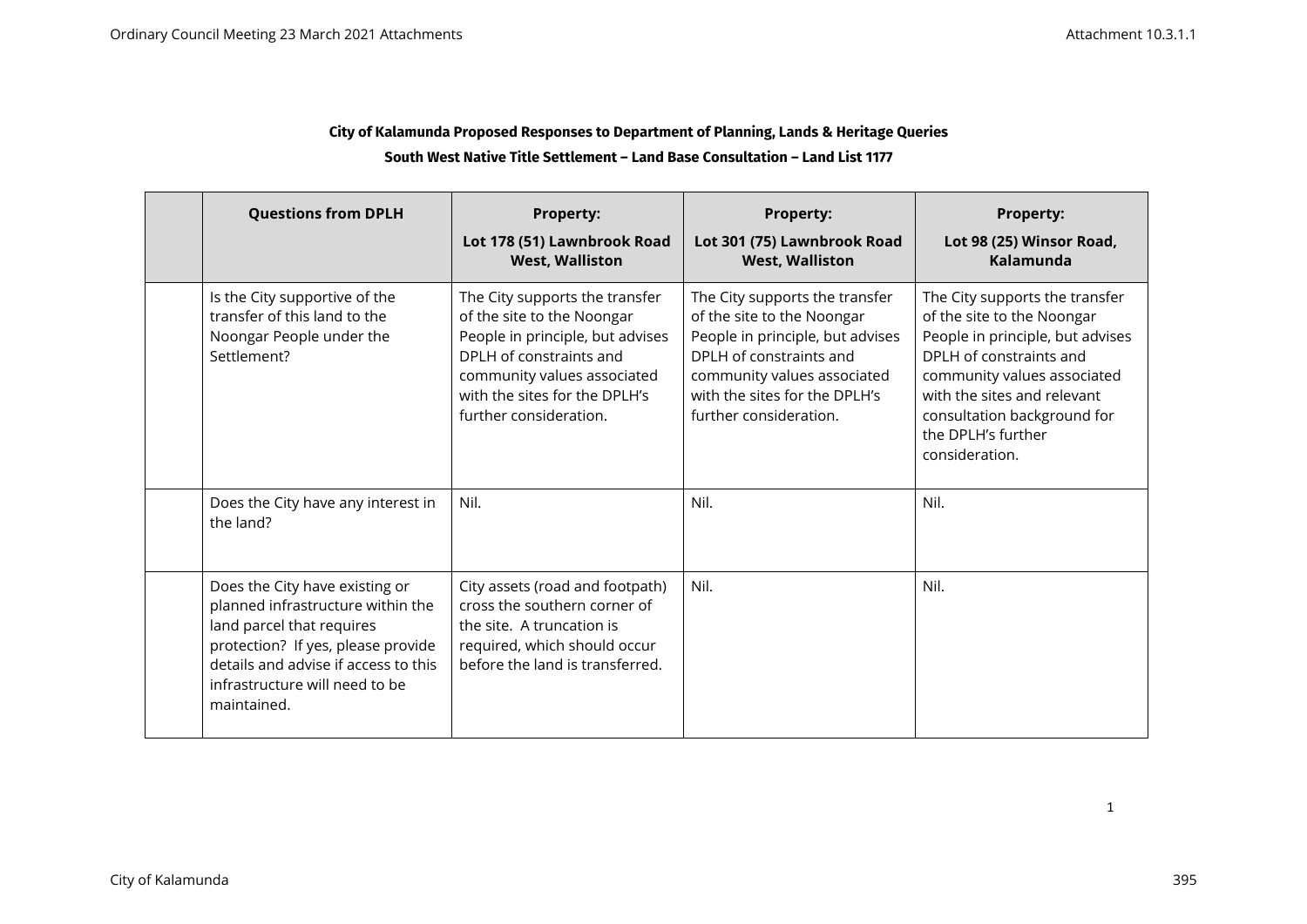### **City of Kalamunda Proposed Responses to Department of Planning, Lands & Heritage Queries South West Native Title Settlement – Land Base Consultation – Land List 1177**

| <b>Questions from DPLH</b>                                                                                                                                                                                                      | <b>Property:</b><br>Lot 178 (51) Lawnbrook Road<br><b>West, Walliston</b>                                                                                                                                             | <b>Property:</b><br>Lot 301 (75) Lawnbrook Road<br><b>West, Walliston</b>                                                                                                                                              | <b>Property:</b><br>Lot 98 (25) Winsor Road,<br>Kalamunda                                                                                                                                                                                                        |
|---------------------------------------------------------------------------------------------------------------------------------------------------------------------------------------------------------------------------------|-----------------------------------------------------------------------------------------------------------------------------------------------------------------------------------------------------------------------|------------------------------------------------------------------------------------------------------------------------------------------------------------------------------------------------------------------------|------------------------------------------------------------------------------------------------------------------------------------------------------------------------------------------------------------------------------------------------------------------|
| Is the City supportive of the<br>transfer of this land to the<br>Noongar People under the<br>Settlement?                                                                                                                        | The City supports the transfer<br>of the site to the Noongar<br>People in principle, but advises<br>DPLH of constraints and<br>community values associated<br>with the sites for the DPLH's<br>further consideration. | The City supports the transfer<br>of the site to the Noongar<br>People in principle, but advises<br>DPLH of constraints and<br>community values associated<br>with the sites for the DPI H's<br>further consideration. | The City supports the transfer<br>of the site to the Noongar<br>People in principle, but advises<br>DPLH of constraints and<br>community values associated<br>with the sites and relevant<br>consultation background for<br>the DPLH's further<br>consideration. |
| Does the City have any interest in<br>the land?                                                                                                                                                                                 | Nil.                                                                                                                                                                                                                  | Nil.                                                                                                                                                                                                                   | Nil.                                                                                                                                                                                                                                                             |
| Does the City have existing or<br>planned infrastructure within the<br>land parcel that requires<br>protection? If yes, please provide<br>details and advise if access to this<br>infrastructure will need to be<br>maintained. | City assets (road and footpath)<br>cross the southern corner of<br>the site. A truncation is<br>required, which should occur<br>before the land is transferred.                                                       | Nil.                                                                                                                                                                                                                   | Nil.                                                                                                                                                                                                                                                             |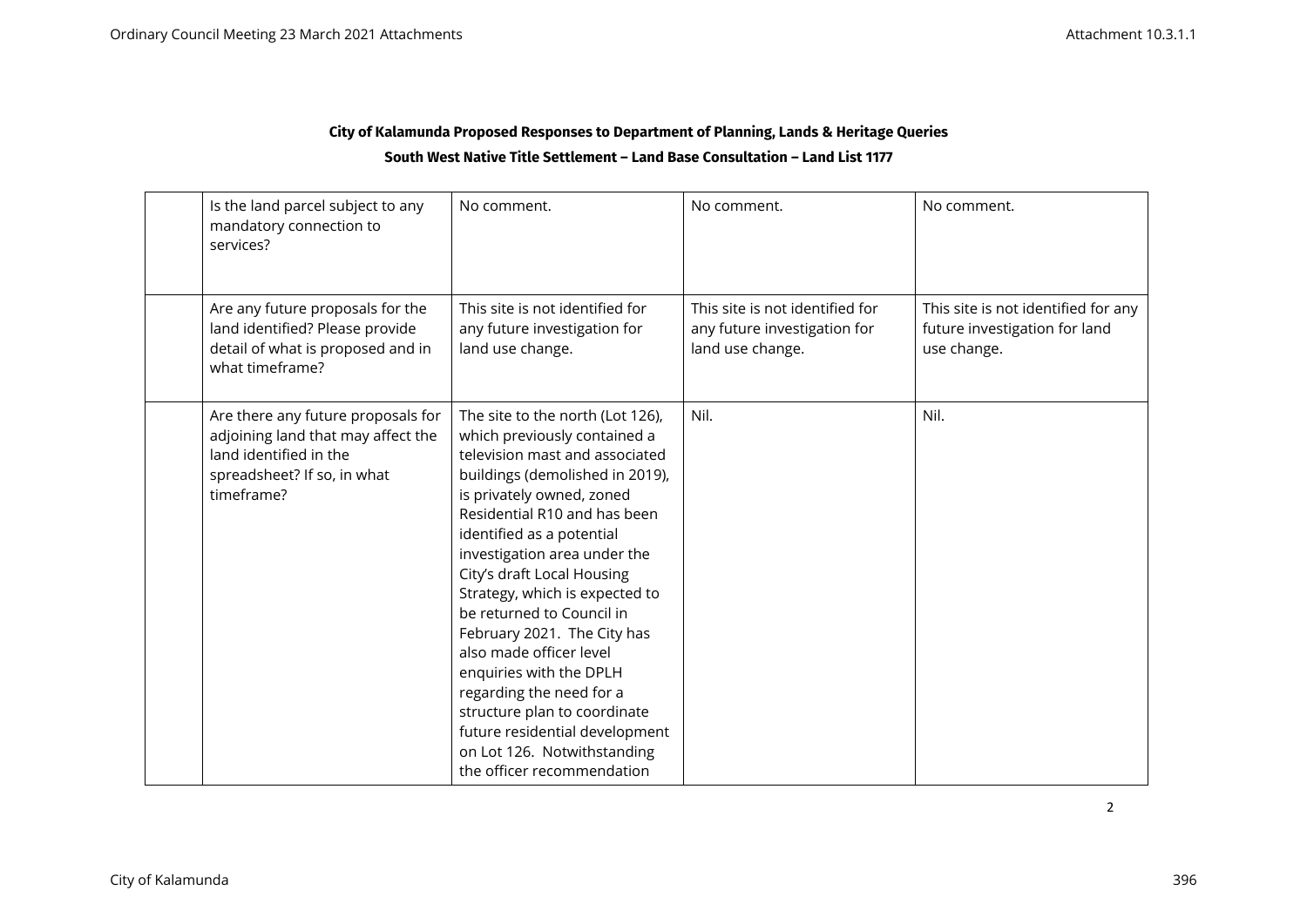## **City of Kalamunda Proposed Responses to Department of Planning, Lands & Heritage Queries South West Native Title Settlement – Land Base Consultation – Land List 1177**

| Is the land parcel subject to any<br>mandatory connection to<br>services?                                                                       | No comment.                                                                                                                                                                                                                                                                                                                                                                                                                                                                                                                                                                                                  | No comment.                                                                         | No comment.                                                                         |
|-------------------------------------------------------------------------------------------------------------------------------------------------|--------------------------------------------------------------------------------------------------------------------------------------------------------------------------------------------------------------------------------------------------------------------------------------------------------------------------------------------------------------------------------------------------------------------------------------------------------------------------------------------------------------------------------------------------------------------------------------------------------------|-------------------------------------------------------------------------------------|-------------------------------------------------------------------------------------|
| Are any future proposals for the<br>land identified? Please provide<br>detail of what is proposed and in<br>what timeframe?                     | This site is not identified for<br>any future investigation for<br>land use change.                                                                                                                                                                                                                                                                                                                                                                                                                                                                                                                          | This site is not identified for<br>any future investigation for<br>land use change. | This site is not identified for any<br>future investigation for land<br>use change. |
| Are there any future proposals for<br>adjoining land that may affect the<br>land identified in the<br>spreadsheet? If so, in what<br>timeframe? | The site to the north (Lot 126),<br>which previously contained a<br>television mast and associated<br>buildings (demolished in 2019),<br>is privately owned, zoned<br>Residential R10 and has been<br>identified as a potential<br>investigation area under the<br>City's draft Local Housing<br>Strategy, which is expected to<br>be returned to Council in<br>February 2021. The City has<br>also made officer level<br>enquiries with the DPLH<br>regarding the need for a<br>structure plan to coordinate<br>future residential development<br>on Lot 126. Notwithstanding<br>the officer recommendation | Nil.                                                                                | Nil.                                                                                |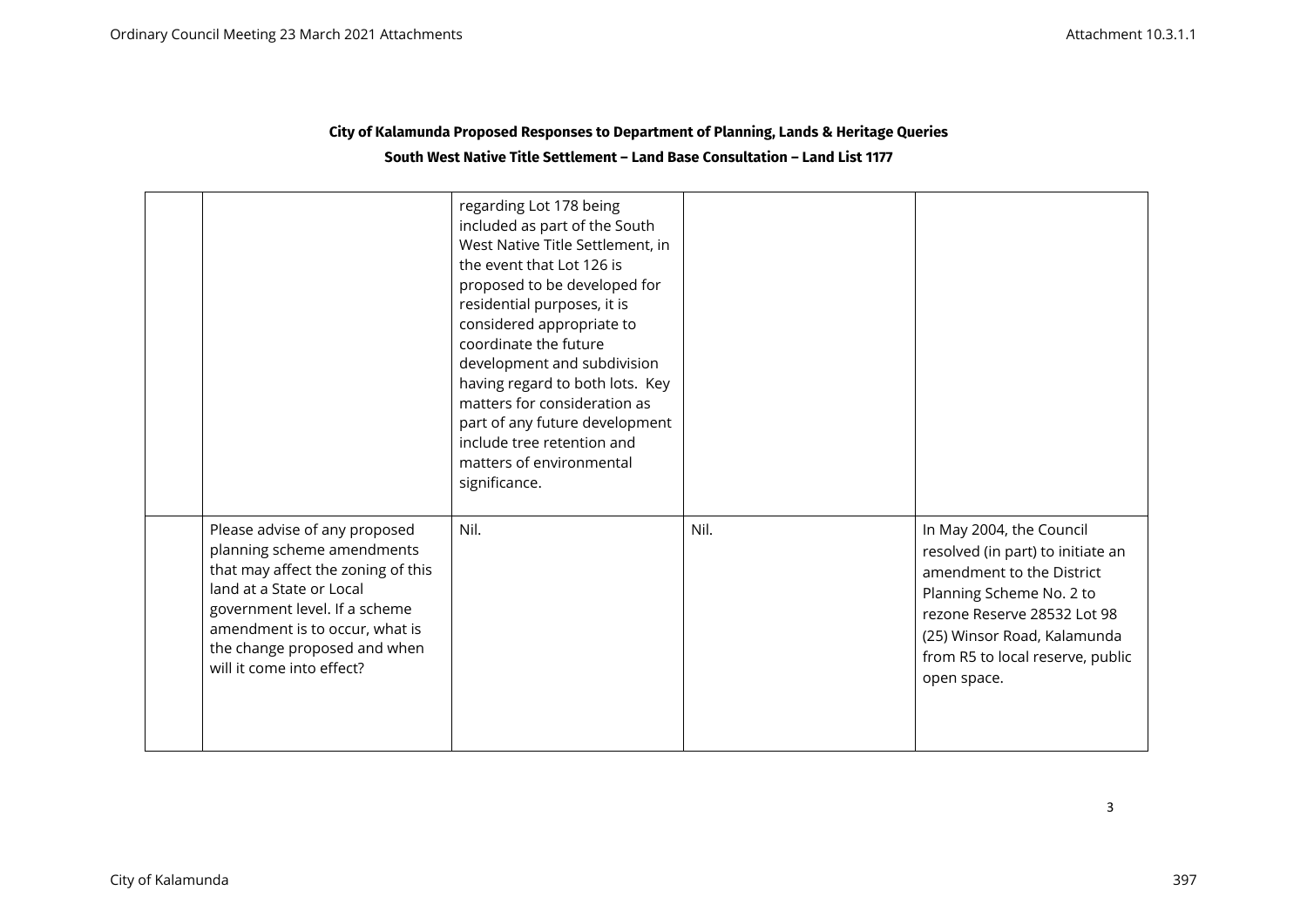| City of Kalamunda Proposed Responses to Department of Planning, Lands & Heritage Queries |  |
|------------------------------------------------------------------------------------------|--|
| South West Native Title Settlement – Land Base Consultation – Land List 1177             |  |

|                                                                                                                                                                                                                                                               | regarding Lot 178 being<br>included as part of the South<br>West Native Title Settlement, in<br>the event that Lot 126 is<br>proposed to be developed for<br>residential purposes, it is<br>considered appropriate to<br>coordinate the future<br>development and subdivision<br>having regard to both lots. Key<br>matters for consideration as<br>part of any future development<br>include tree retention and<br>matters of environmental<br>significance. |      |                                                                                                                                                                                                                                         |
|---------------------------------------------------------------------------------------------------------------------------------------------------------------------------------------------------------------------------------------------------------------|---------------------------------------------------------------------------------------------------------------------------------------------------------------------------------------------------------------------------------------------------------------------------------------------------------------------------------------------------------------------------------------------------------------------------------------------------------------|------|-----------------------------------------------------------------------------------------------------------------------------------------------------------------------------------------------------------------------------------------|
| Please advise of any proposed<br>planning scheme amendments<br>that may affect the zoning of this<br>land at a State or Local<br>government level. If a scheme<br>amendment is to occur, what is<br>the change proposed and when<br>will it come into effect? | Nil.                                                                                                                                                                                                                                                                                                                                                                                                                                                          | Nil. | In May 2004, the Council<br>resolved (in part) to initiate an<br>amendment to the District<br>Planning Scheme No. 2 to<br>rezone Reserve 28532 Lot 98<br>(25) Winsor Road, Kalamunda<br>from R5 to local reserve, public<br>open space. |

3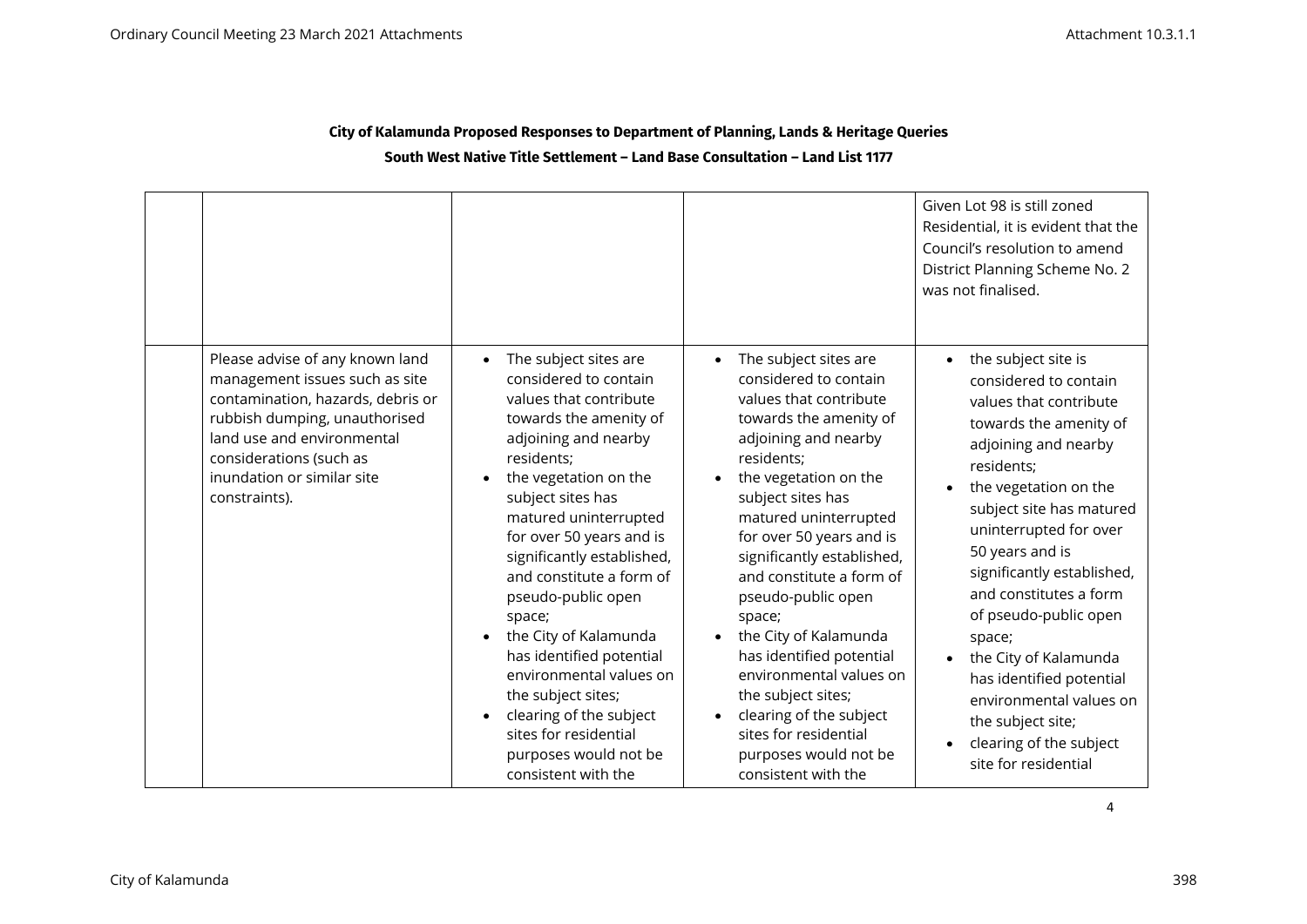### **City of Kalamunda Proposed Responses to Department of Planning, Lands & Heritage Queries South West Native Title Settlement – Land Base Consultation – Land List 1177**

|                                                                                                                                                                                                                                                 |                                                                                                                                                                                                                                                                                                                                                                                                                                                                                                                                                              |                                                                                                                                                                                                                                                                                                                                                                                                                                                                                                                                                 | Given Lot 98 is still zoned<br>Residential, it is evident that the<br>Council's resolution to amend<br>District Planning Scheme No. 2<br>was not finalised.                                                                                                                                                                                                                                                                                                                                 |
|-------------------------------------------------------------------------------------------------------------------------------------------------------------------------------------------------------------------------------------------------|--------------------------------------------------------------------------------------------------------------------------------------------------------------------------------------------------------------------------------------------------------------------------------------------------------------------------------------------------------------------------------------------------------------------------------------------------------------------------------------------------------------------------------------------------------------|-------------------------------------------------------------------------------------------------------------------------------------------------------------------------------------------------------------------------------------------------------------------------------------------------------------------------------------------------------------------------------------------------------------------------------------------------------------------------------------------------------------------------------------------------|---------------------------------------------------------------------------------------------------------------------------------------------------------------------------------------------------------------------------------------------------------------------------------------------------------------------------------------------------------------------------------------------------------------------------------------------------------------------------------------------|
| Please advise of any known land<br>management issues such as site<br>contamination, hazards, debris or<br>rubbish dumping, unauthorised<br>land use and environmental<br>considerations (such as<br>inundation or similar site<br>constraints). | The subject sites are<br>considered to contain<br>values that contribute<br>towards the amenity of<br>adjoining and nearby<br>residents;<br>the vegetation on the<br>subject sites has<br>matured uninterrupted<br>for over 50 years and is<br>significantly established,<br>and constitute a form of<br>pseudo-public open<br>space;<br>the City of Kalamunda<br>has identified potential<br>environmental values on<br>the subject sites;<br>clearing of the subject<br>$\bullet$<br>sites for residential<br>purposes would not be<br>consistent with the | The subject sites are<br>considered to contain<br>values that contribute<br>towards the amenity of<br>adjoining and nearby<br>residents;<br>the vegetation on the<br>subject sites has<br>matured uninterrupted<br>for over 50 years and is<br>significantly established,<br>and constitute a form of<br>pseudo-public open<br>space;<br>the City of Kalamunda<br>has identified potential<br>environmental values on<br>the subject sites;<br>clearing of the subject<br>sites for residential<br>purposes would not be<br>consistent with the | the subject site is<br>considered to contain<br>values that contribute<br>towards the amenity of<br>adjoining and nearby<br>residents;<br>the vegetation on the<br>subject site has matured<br>uninterrupted for over<br>50 years and is<br>significantly established,<br>and constitutes a form<br>of pseudo-public open<br>space;<br>the City of Kalamunda<br>has identified potential<br>environmental values on<br>the subject site;<br>clearing of the subject<br>site for residential |